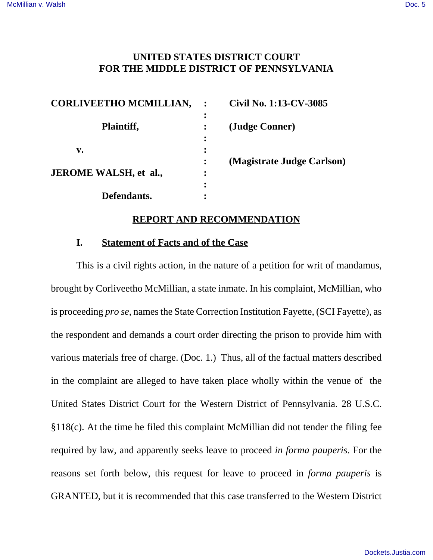# **UNITED STATES DISTRICT COURT FOR THE MIDDLE DISTRICT OF PENNSYLVANIA**

| <b>CORLIVEETHO MCMILLIAN,</b> |           | Civil No. 1:13-CV-3085     |
|-------------------------------|-----------|----------------------------|
| Plaintiff,                    | $\bullet$ | (Judge Conner)             |
| v.                            |           |                            |
| <b>JEROME WALSH, et al.,</b>  |           | (Magistrate Judge Carlson) |
| Defendants.                   |           |                            |
|                               |           |                            |

#### **REPORT AND RECOMMENDATION**

### **I. Statement of Facts and of the Case**

This is a civil rights action, in the nature of a petition for writ of mandamus, brought by Corliveetho McMillian, a state inmate. In his complaint, McMillian, who is proceeding *pro se*, names the State Correction Institution Fayette, (SCI Fayette), as the respondent and demands a court order directing the prison to provide him with various materials free of charge. (Doc. 1.) Thus, all of the factual matters described in the complaint are alleged to have taken place wholly within the venue of the United States District Court for the Western District of Pennsylvania. 28 U.S.C. §118(c). At the time he filed this complaint McMillian did not tender the filing fee required by law, and apparently seeks leave to proceed *in forma pauperis*. For the reasons set forth below, this request for leave to proceed in *forma pauperis* is GRANTED, but it is recommended that this case transferred to the Western District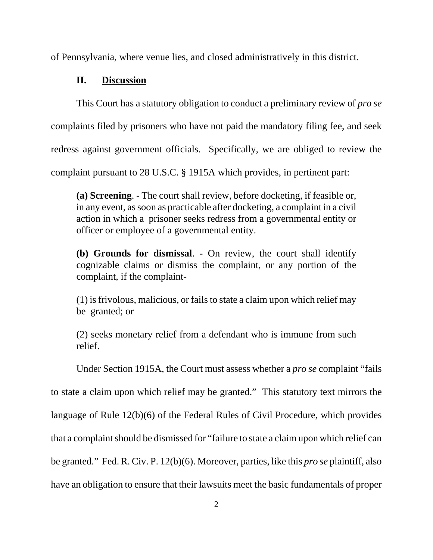of Pennsylvania, where venue lies, and closed administratively in this district.

## **II. Discussion**

This Court has a statutory obligation to conduct a preliminary review of *pro se* complaints filed by prisoners who have not paid the mandatory filing fee, and seek redress against government officials. Specifically, we are obliged to review the complaint pursuant to 28 U.S.C. § 1915A which provides, in pertinent part:

**(a) Screening**. - The court shall review, before docketing, if feasible or, in any event, as soon as practicable after docketing, a complaint in a civil action in which a prisoner seeks redress from a governmental entity or officer or employee of a governmental entity.

**(b) Grounds for dismissal**. - On review, the court shall identify cognizable claims or dismiss the complaint, or any portion of the complaint, if the complaint-

(1) is frivolous, malicious, or fails to state a claim upon which relief may be granted; or

(2) seeks monetary relief from a defendant who is immune from such relief.

Under Section 1915A, the Court must assess whether a *pro se* complaint "fails to state a claim upon which relief may be granted." This statutory text mirrors the language of Rule 12(b)(6) of the Federal Rules of Civil Procedure, which provides that a complaint should be dismissed for "failure to state a claim upon which relief can be granted." Fed. R. Civ. P. 12(b)(6). Moreover, parties, like this *pro se* plaintiff, also have an obligation to ensure that their lawsuits meet the basic fundamentals of proper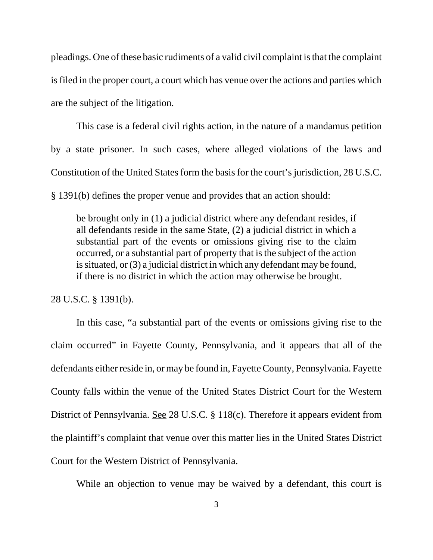pleadings. One of these basic rudiments of a valid civil complaint is that the complaint is filed in the proper court, a court which has venue over the actions and parties which are the subject of the litigation.

This case is a federal civil rights action, in the nature of a mandamus petition by a state prisoner. In such cases, where alleged violations of the laws and Constitution of the United States form the basis for the court's jurisdiction, 28 U.S.C. § 1391(b) defines the proper venue and provides that an action should:

be brought only in (1) a judicial district where any defendant resides, if all defendants reside in the same State, (2) a judicial district in which a substantial part of the events or omissions giving rise to the claim occurred, or a substantial part of property that is the subject of the action is situated, or (3) a judicial district in which any defendant may be found, if there is no district in which the action may otherwise be brought.

28 U.S.C. § 1391(b).

In this case, "a substantial part of the events or omissions giving rise to the claim occurred" in Fayette County, Pennsylvania, and it appears that all of the defendants either reside in, or may be found in, Fayette County, Pennsylvania. Fayette County falls within the venue of the United States District Court for the Western District of Pennsylvania. See 28 U.S.C. § 118(c). Therefore it appears evident from the plaintiff's complaint that venue over this matter lies in the United States District Court for the Western District of Pennsylvania.

While an objection to venue may be waived by a defendant, this court is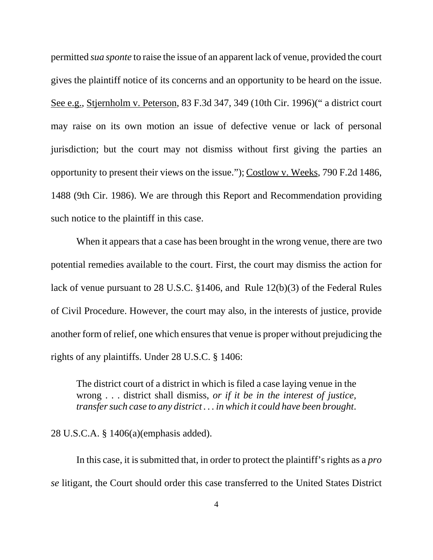permitted *sua sponte* to raise the issue of an apparent lack of venue, provided the court gives the plaintiff notice of its concerns and an opportunity to be heard on the issue. See e.g., Stjernholm v. Peterson, 83 F.3d 347, 349 (10th Cir. 1996)(" a district court may raise on its own motion an issue of defective venue or lack of personal jurisdiction; but the court may not dismiss without first giving the parties an opportunity to present their views on the issue."); Costlow v. Weeks, 790 F.2d 1486, 1488 (9th Cir. 1986). We are through this Report and Recommendation providing such notice to the plaintiff in this case.

 When it appears that a case has been brought in the wrong venue, there are two potential remedies available to the court. First, the court may dismiss the action for lack of venue pursuant to 28 U.S.C. §1406, and Rule 12(b)(3) of the Federal Rules of Civil Procedure. However, the court may also, in the interests of justice, provide another form of relief, one which ensures that venue is proper without prejudicing the rights of any plaintiffs. Under 28 U.S.C. § 1406:

The district court of a district in which is filed a case laying venue in the wrong . . . district shall dismiss, *or if it be in the interest of justice, transfer such case to any district . . . in which it could have been brought*.

28 U.S.C.A. § 1406(a)(emphasis added).

In this case, it is submitted that, in order to protect the plaintiff's rights as a *pro se* litigant, the Court should order this case transferred to the United States District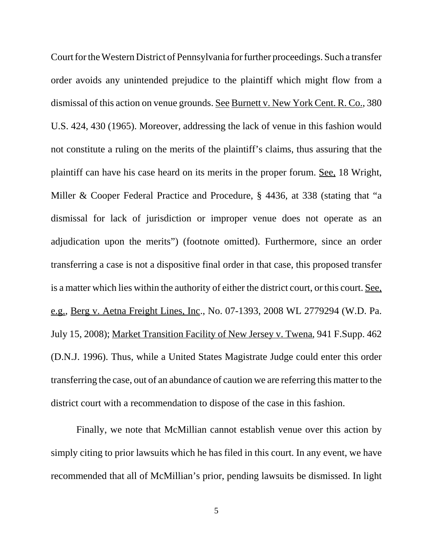Court for the Western District of Pennsylvania for further proceedings. Such a transfer order avoids any unintended prejudice to the plaintiff which might flow from a dismissal of this action on venue grounds. See Burnett v. New York Cent. R. Co., 380 U.S. 424, 430 (1965). Moreover, addressing the lack of venue in this fashion would not constitute a ruling on the merits of the plaintiff's claims, thus assuring that the plaintiff can have his case heard on its merits in the proper forum. See, 18 Wright, Miller & Cooper Federal Practice and Procedure, § 4436, at 338 (stating that "a dismissal for lack of jurisdiction or improper venue does not operate as an adjudication upon the merits") (footnote omitted). Furthermore, since an order transferring a case is not a dispositive final order in that case, this proposed transfer is a matter which lies within the authority of either the district court, or this court. See, e.g., Berg v. Aetna Freight Lines, Inc., No. 07-1393, 2008 WL 2779294 (W.D. Pa. July 15, 2008); Market Transition Facility of New Jersey v. Twena, 941 F.Supp. 462 (D.N.J. 1996). Thus, while a United States Magistrate Judge could enter this order transferring the case, out of an abundance of caution we are referring this matter to the district court with a recommendation to dispose of the case in this fashion.

Finally, we note that McMillian cannot establish venue over this action by simply citing to prior lawsuits which he has filed in this court. In any event, we have recommended that all of McMillian's prior, pending lawsuits be dismissed. In light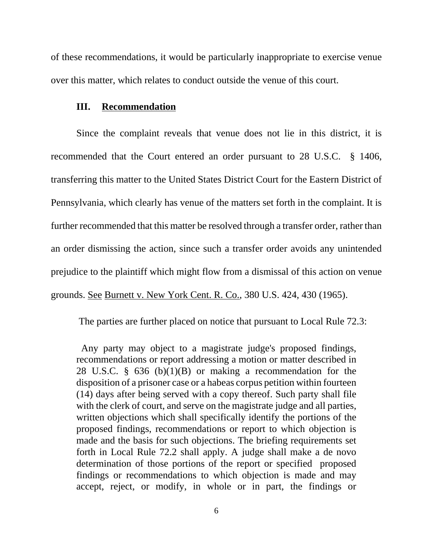of these recommendations, it would be particularly inappropriate to exercise venue over this matter, which relates to conduct outside the venue of this court.

#### **III. Recommendation**

Since the complaint reveals that venue does not lie in this district, it is recommended that the Court entered an order pursuant to 28 U.S.C. § 1406, transferring this matter to the United States District Court for the Eastern District of Pennsylvania, which clearly has venue of the matters set forth in the complaint. It is further recommended that this matter be resolved through a transfer order, rather than an order dismissing the action, since such a transfer order avoids any unintended prejudice to the plaintiff which might flow from a dismissal of this action on venue grounds. See Burnett v. New York Cent. R. Co., 380 U.S. 424, 430 (1965).

The parties are further placed on notice that pursuant to Local Rule 72.3:

 Any party may object to a magistrate judge's proposed findings, recommendations or report addressing a motion or matter described in 28 U.S.C. § 636 (b)(1)(B) or making a recommendation for the disposition of a prisoner case or a habeas corpus petition within fourteen (14) days after being served with a copy thereof. Such party shall file with the clerk of court, and serve on the magistrate judge and all parties, written objections which shall specifically identify the portions of the proposed findings, recommendations or report to which objection is made and the basis for such objections. The briefing requirements set forth in Local Rule 72.2 shall apply. A judge shall make a de novo determination of those portions of the report or specified proposed findings or recommendations to which objection is made and may accept, reject, or modify, in whole or in part, the findings or